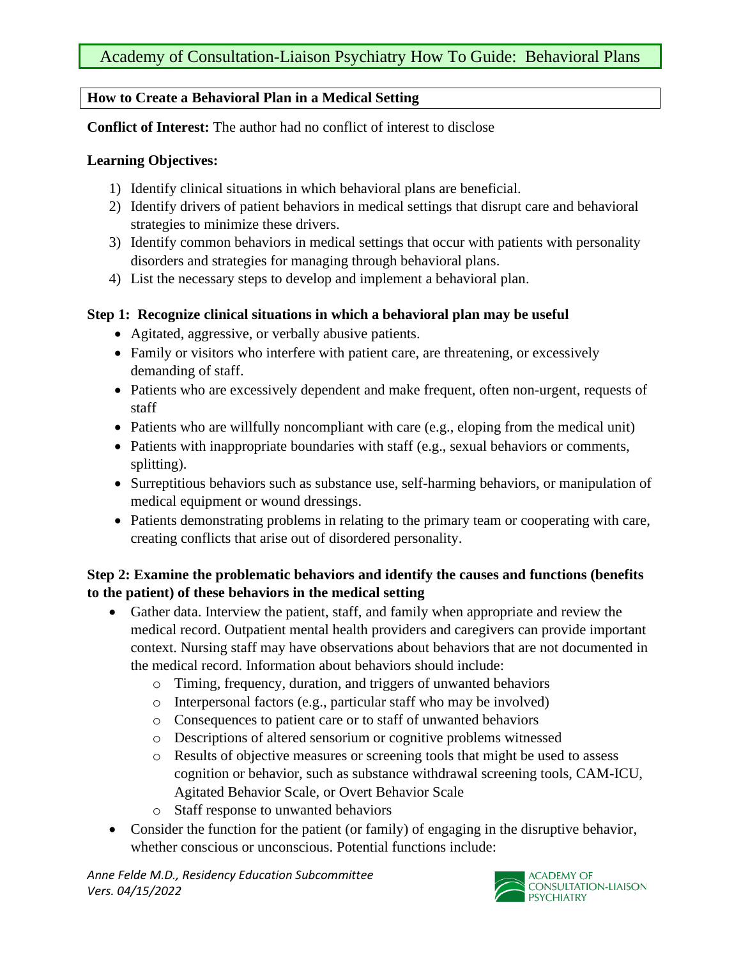## **How to Create a Behavioral Plan in a Medical Setting**

**Conflict of Interest:** The author had no conflict of interest to disclose

### **Learning Objectives:**

- 1) Identify clinical situations in which behavioral plans are beneficial.
- 2) Identify drivers of patient behaviors in medical settings that disrupt care and behavioral strategies to minimize these drivers.
- 3) Identify common behaviors in medical settings that occur with patients with personality disorders and strategies for managing through behavioral plans.
- 4) List the necessary steps to develop and implement a behavioral plan.

## **Step 1: Recognize clinical situations in which a behavioral plan may be useful**

- Agitated, aggressive, or verbally abusive patients.
- Family or visitors who interfere with patient care, are threatening, or excessively demanding of staff.
- Patients who are excessively dependent and make frequent, often non-urgent, requests of staff
- Patients who are willfully noncompliant with care (e.g., eloping from the medical unit)
- Patients with inappropriate boundaries with staff (e.g., sexual behaviors or comments, splitting).
- Surreptitious behaviors such as substance use, self-harming behaviors, or manipulation of medical equipment or wound dressings.
- Patients demonstrating problems in relating to the primary team or cooperating with care, creating conflicts that arise out of disordered personality.

# **Step 2: Examine the problematic behaviors and identify the causes and functions (benefits to the patient) of these behaviors in the medical setting**

- Gather data. Interview the patient, staff, and family when appropriate and review the medical record. Outpatient mental health providers and caregivers can provide important context. Nursing staff may have observations about behaviors that are not documented in the medical record. Information about behaviors should include:
	- o Timing, frequency, duration, and triggers of unwanted behaviors
	- o Interpersonal factors (e.g., particular staff who may be involved)
	- o Consequences to patient care or to staff of unwanted behaviors
	- o Descriptions of altered sensorium or cognitive problems witnessed
	- o Results of objective measures or screening tools that might be used to assess cognition or behavior, such as substance withdrawal screening tools, CAM-ICU, Agitated Behavior Scale, or Overt Behavior Scale
	- o Staff response to unwanted behaviors
- Consider the function for the patient (or family) of engaging in the disruptive behavior, whether conscious or unconscious. Potential functions include:

*Anne Felde M.D., Residency Education Subcommittee Vers. 04/15/2022*

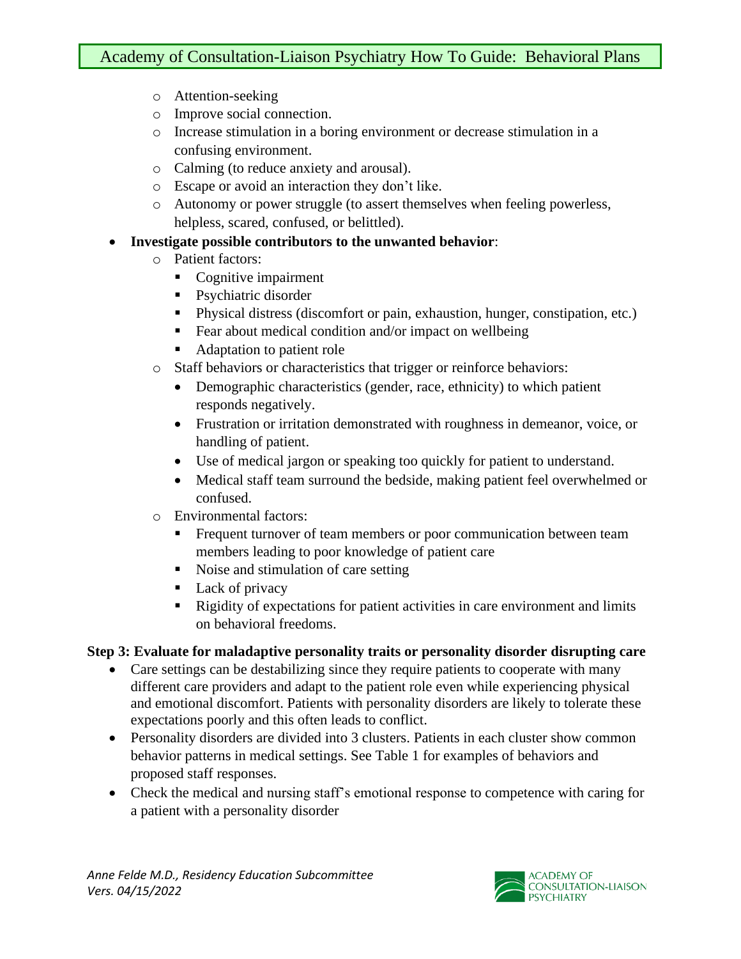- o Attention-seeking
- o Improve social connection.
- o Increase stimulation in a boring environment or decrease stimulation in a confusing environment.
- o Calming (to reduce anxiety and arousal).
- o Escape or avoid an interaction they don't like.
- o Autonomy or power struggle (to assert themselves when feeling powerless, helpless, scared, confused, or belittled).
- **Investigate possible contributors to the unwanted behavior**:
	- o Patient factors:
		- Cognitive impairment
		- Psychiatric disorder
		- **•** Physical distress (discomfort or pain, exhaustion, hunger, constipation, etc.)
		- Fear about medical condition and/or impact on wellbeing
		- Adaptation to patient role
	- o Staff behaviors or characteristics that trigger or reinforce behaviors:
		- Demographic characteristics (gender, race, ethnicity) to which patient responds negatively.
		- Frustration or irritation demonstrated with roughness in demeanor, voice, or handling of patient.
		- Use of medical jargon or speaking too quickly for patient to understand.
		- Medical staff team surround the bedside, making patient feel overwhelmed or confused.
	- o Environmental factors:
		- **Example 1** Frequent turnover of team members or poor communication between team members leading to poor knowledge of patient care
		- Noise and stimulation of care setting
		- Lack of privacy
		- Rigidity of expectations for patient activities in care environment and limits on behavioral freedoms.

#### **Step 3: Evaluate for maladaptive personality traits or personality disorder disrupting care**

- Care settings can be destabilizing since they require patients to cooperate with many different care providers and adapt to the patient role even while experiencing physical and emotional discomfort. Patients with personality disorders are likely to tolerate these expectations poorly and this often leads to conflict.
- Personality disorders are divided into 3 clusters. Patients in each cluster show common behavior patterns in medical settings. See Table 1 for examples of behaviors and proposed staff responses.
- Check the medical and nursing staff's emotional response to competence with caring for a patient with a personality disorder

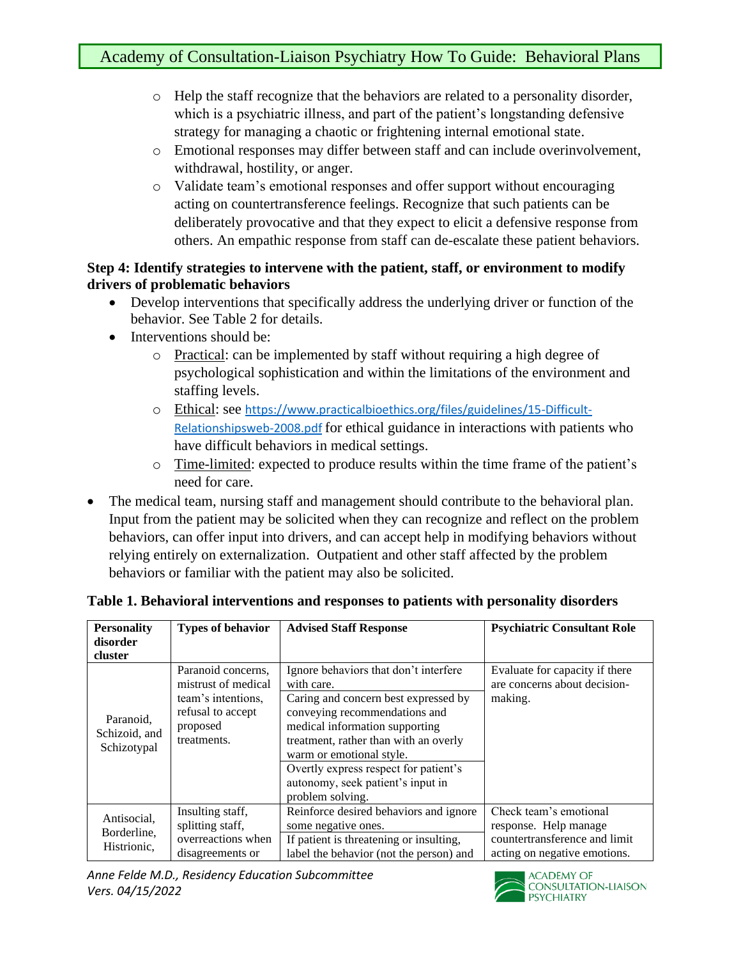- o Help the staff recognize that the behaviors are related to a personality disorder, which is a psychiatric illness, and part of the patient's longstanding defensive strategy for managing a chaotic or frightening internal emotional state.
- o Emotional responses may differ between staff and can include overinvolvement, withdrawal, hostility, or anger.
- o Validate team's emotional responses and offer support without encouraging acting on countertransference feelings. Recognize that such patients can be deliberately provocative and that they expect to elicit a defensive response from others. An empathic response from staff can de-escalate these patient behaviors.

### **Step 4: Identify strategies to intervene with the patient, staff, or environment to modify drivers of problematic behaviors**

- Develop interventions that specifically address the underlying driver or function of the behavior. See Table 2 for details.
- Interventions should be:
	- o Practical: can be implemented by staff without requiring a high degree of psychological sophistication and within the limitations of the environment and staffing levels.
	- o Ethical: see [https://www.practicalbioethics.org/files/guidelines/15-Difficult-](https://www.practicalbioethics.org/files/guidelines/15-Difficult-Relationshipsweb-2008.pdf)[Relationshipsweb-2008.pdf](https://www.practicalbioethics.org/files/guidelines/15-Difficult-Relationshipsweb-2008.pdf) for ethical guidance in interactions with patients who have difficult behaviors in medical settings.
	- o Time-limited: expected to produce results within the time frame of the patient's need for care.
- The medical team, nursing staff and management should contribute to the behavioral plan. Input from the patient may be solicited when they can recognize and reflect on the problem behaviors, can offer input into drivers, and can accept help in modifying behaviors without relying entirely on externalization. Outpatient and other staff affected by the problem behaviors or familiar with the patient may also be solicited.

| <b>Personality</b><br>disorder<br>cluster | <b>Types of behavior</b>                                                                                        | <b>Advised Staff Response</b>                                                                                                                                                                                                                                                                                                         | <b>Psychiatric Consultant Role</b>                                                                               |
|-------------------------------------------|-----------------------------------------------------------------------------------------------------------------|---------------------------------------------------------------------------------------------------------------------------------------------------------------------------------------------------------------------------------------------------------------------------------------------------------------------------------------|------------------------------------------------------------------------------------------------------------------|
| Paranoid,<br>Schizoid, and<br>Schizotypal | Paranoid concerns,<br>mistrust of medical<br>team's intentions,<br>refusal to accept<br>proposed<br>treatments. | Ignore behaviors that don't interfere<br>with care.<br>Caring and concern best expressed by<br>conveying recommendations and<br>medical information supporting<br>treatment, rather than with an overly<br>warm or emotional style.<br>Overtly express respect for patient's<br>autonomy, seek patient's input in<br>problem solving. | Evaluate for capacity if there<br>are concerns about decision-<br>making.                                        |
| Antisocial.<br>Borderline,<br>Histrionic, | Insulting staff,<br>splitting staff,<br>overreactions when<br>disagreements or                                  | Reinforce desired behaviors and ignore<br>some negative ones.<br>If patient is threatening or insulting,<br>label the behavior (not the person) and                                                                                                                                                                                   | Check team's emotional<br>response. Help manage<br>countertransference and limit<br>acting on negative emotions. |

## **Table 1. Behavioral interventions and responses to patients with personality disorders**

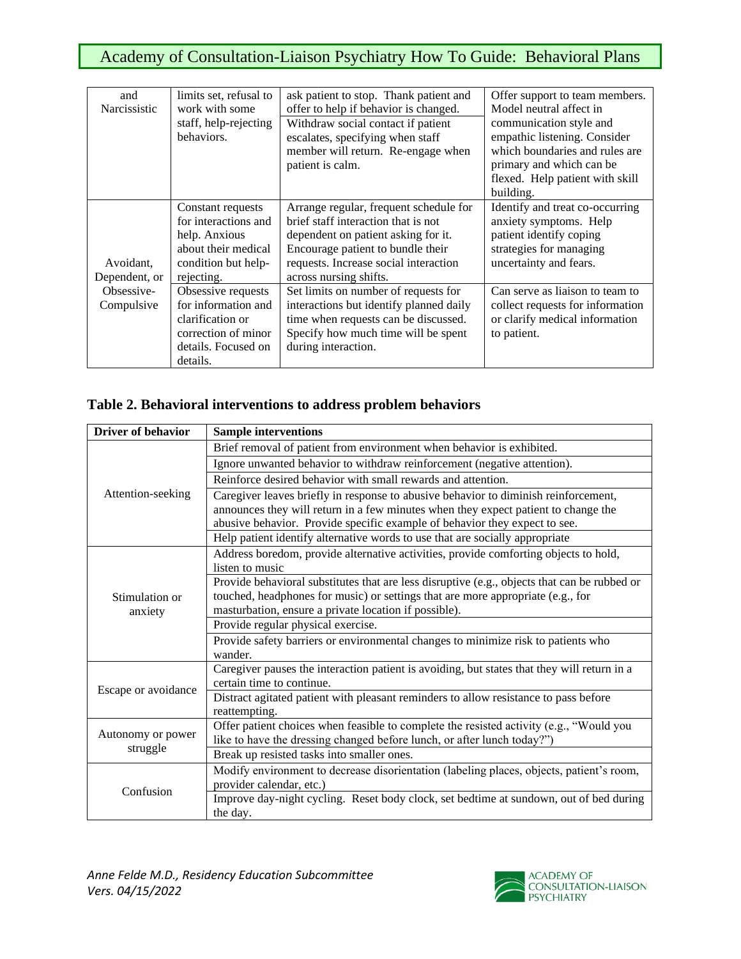# Academy of Consultation-Liaison Psychiatry How To Guide: Behavioral Plans

| and                                       | limits set, refusal to | ask patient to stop. Thank patient and  | Offer support to team members.   |
|-------------------------------------------|------------------------|-----------------------------------------|----------------------------------|
| Narcissistic                              | work with some         | offer to help if behavior is changed.   | Model neutral affect in          |
|                                           | staff, help-rejecting  | Withdraw social contact if patient      | communication style and          |
|                                           | behaviors.             | escalates, specifying when staff        | empathic listening. Consider     |
|                                           |                        | member will return. Re-engage when      | which boundaries and rules are   |
|                                           |                        | patient is calm.                        | primary and which can be         |
|                                           |                        |                                         | flexed. Help patient with skill  |
|                                           |                        |                                         | building.                        |
|                                           | Constant requests      | Arrange regular, frequent schedule for  | Identify and treat co-occurring  |
|                                           | for interactions and   | brief staff interaction that is not     | anxiety symptoms. Help           |
|                                           | help. Anxious          | dependent on patient asking for it.     | patient identify coping          |
|                                           | about their medical    | Encourage patient to bundle their       | strategies for managing          |
| Avoidant,                                 | condition but help-    | requests. Increase social interaction   | uncertainty and fears.           |
| Dependent, or<br>Obsessive-<br>Compulsive | rejecting.             | across nursing shifts.                  |                                  |
|                                           | Obsessive requests     | Set limits on number of requests for    | Can serve as liaison to team to  |
|                                           | for information and    | interactions but identify planned daily | collect requests for information |
|                                           | clarification or       | time when requests can be discussed.    | or clarify medical information   |
|                                           | correction of minor    | Specify how much time will be spent     | to patient.                      |
|                                           | details. Focused on    | during interaction.                     |                                  |
|                                           | details.               |                                         |                                  |

### **Table 2. Behavioral interventions to address problem behaviors**

| <b>Driver of behavior</b> | <b>Sample interventions</b>                                                                  |  |  |
|---------------------------|----------------------------------------------------------------------------------------------|--|--|
| Attention-seeking         | Brief removal of patient from environment when behavior is exhibited.                        |  |  |
|                           | Ignore unwanted behavior to withdraw reinforcement (negative attention).                     |  |  |
|                           | Reinforce desired behavior with small rewards and attention.                                 |  |  |
|                           | Caregiver leaves briefly in response to abusive behavior to diminish reinforcement,          |  |  |
|                           | announces they will return in a few minutes when they expect patient to change the           |  |  |
|                           | abusive behavior. Provide specific example of behavior they expect to see.                   |  |  |
|                           | Help patient identify alternative words to use that are socially appropriate                 |  |  |
|                           | Address boredom, provide alternative activities, provide comforting objects to hold,         |  |  |
|                           | listen to music                                                                              |  |  |
|                           | Provide behavioral substitutes that are less disruptive (e.g., objects that can be rubbed or |  |  |
| Stimulation or            | touched, headphones for music) or settings that are more appropriate (e.g., for              |  |  |
| anxiety                   | masturbation, ensure a private location if possible).                                        |  |  |
|                           | Provide regular physical exercise.                                                           |  |  |
|                           | Provide safety barriers or environmental changes to minimize risk to patients who            |  |  |
|                           | wander.                                                                                      |  |  |
|                           | Caregiver pauses the interaction patient is avoiding, but states that they will return in a  |  |  |
| Escape or avoidance       | certain time to continue.                                                                    |  |  |
|                           | Distract agitated patient with pleasant reminders to allow resistance to pass before         |  |  |
|                           | reattempting.                                                                                |  |  |
| Autonomy or power         | Offer patient choices when feasible to complete the resisted activity (e.g., "Would you      |  |  |
|                           | like to have the dressing changed before lunch, or after lunch today?")                      |  |  |
| struggle                  | Break up resisted tasks into smaller ones.                                                   |  |  |
|                           | Modify environment to decrease disorientation (labeling places, objects, patient's room,     |  |  |
| Confusion                 | provider calendar, etc.)                                                                     |  |  |
|                           | Improve day-night cycling. Reset body clock, set bedtime at sundown, out of bed during       |  |  |
|                           | the day.                                                                                     |  |  |

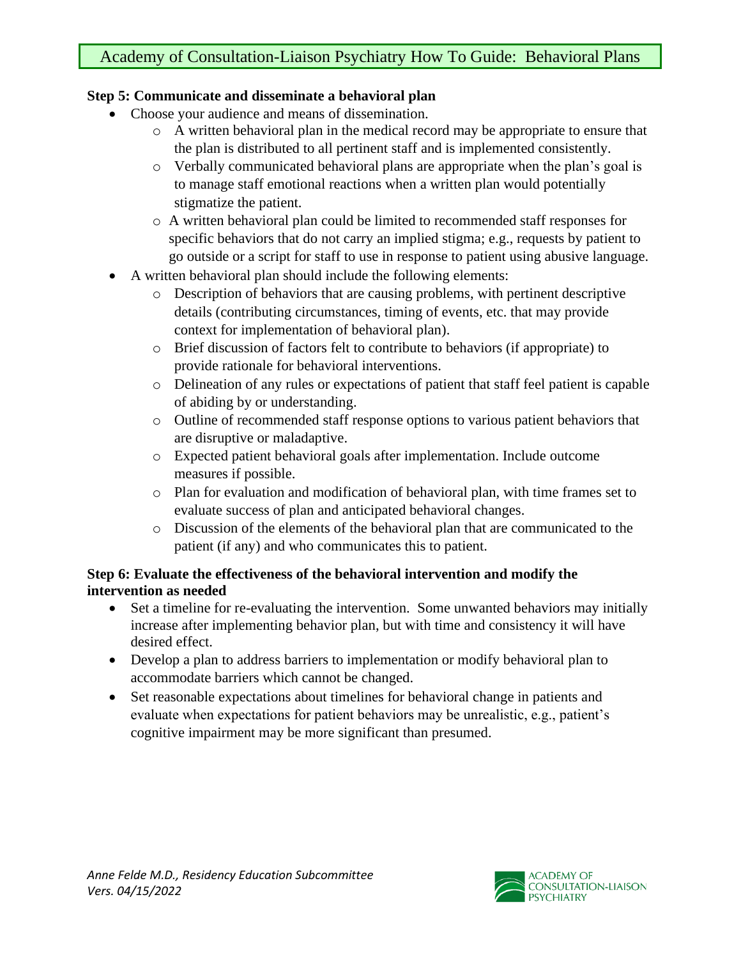# Academy of Consultation-Liaison Psychiatry How To Guide: Behavioral Plans

## **Step 5: Communicate and disseminate a behavioral plan**

- Choose your audience and means of dissemination.
	- o A written behavioral plan in the medical record may be appropriate to ensure that the plan is distributed to all pertinent staff and is implemented consistently.
	- o Verbally communicated behavioral plans are appropriate when the plan's goal is to manage staff emotional reactions when a written plan would potentially stigmatize the patient.
	- o A written behavioral plan could be limited to recommended staff responses for specific behaviors that do not carry an implied stigma; e.g., requests by patient to go outside or a script for staff to use in response to patient using abusive language.
- A written behavioral plan should include the following elements:
	- o Description of behaviors that are causing problems, with pertinent descriptive details (contributing circumstances, timing of events, etc. that may provide context for implementation of behavioral plan).
	- o Brief discussion of factors felt to contribute to behaviors (if appropriate) to provide rationale for behavioral interventions.
	- o Delineation of any rules or expectations of patient that staff feel patient is capable of abiding by or understanding.
	- o Outline of recommended staff response options to various patient behaviors that are disruptive or maladaptive.
	- o Expected patient behavioral goals after implementation. Include outcome measures if possible.
	- o Plan for evaluation and modification of behavioral plan, with time frames set to evaluate success of plan and anticipated behavioral changes.
	- o Discussion of the elements of the behavioral plan that are communicated to the patient (if any) and who communicates this to patient.

## **Step 6: Evaluate the effectiveness of the behavioral intervention and modify the intervention as needed**

- Set a timeline for re-evaluating the intervention. Some unwanted behaviors may initially increase after implementing behavior plan, but with time and consistency it will have desired effect.
- Develop a plan to address barriers to implementation or modify behavioral plan to accommodate barriers which cannot be changed.
- Set reasonable expectations about timelines for behavioral change in patients and evaluate when expectations for patient behaviors may be unrealistic, e.g., patient's cognitive impairment may be more significant than presumed.